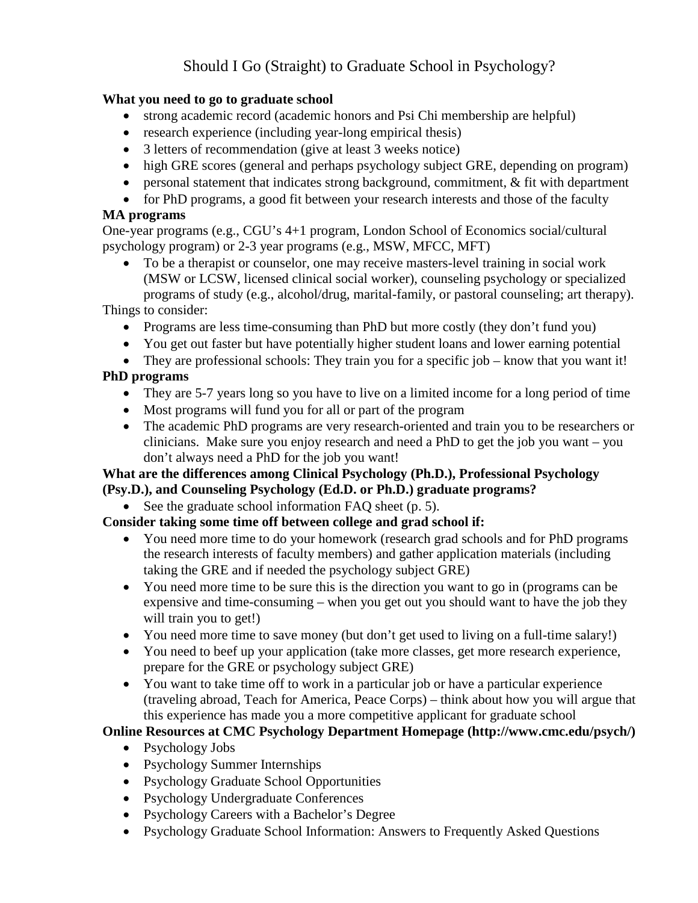# Should I Go (Straight) to Graduate School in Psychology?

#### **What you need to go to graduate school**

- strong academic record (academic honors and Psi Chi membership are helpful)
- research experience (including year-long empirical thesis)
- 3 letters of recommendation (give at least 3 weeks notice)
- high GRE scores (general and perhaps psychology subject GRE, depending on program)
- personal statement that indicates strong background, commitment, & fit with department
- for PhD programs, a good fit between your research interests and those of the faculty

#### **MA programs**

One-year programs (e.g., CGU's 4+1 program, London School of Economics social/cultural psychology program) or 2-3 year programs (e.g., MSW, MFCC, MFT)

• To be a therapist or counselor, one may receive masters-level training in social work (MSW or LCSW, licensed clinical social worker), counseling psychology or specialized programs of study (e.g., alcohol/drug, marital-family, or pastoral counseling; art therapy).

Things to consider:

- Programs are less time-consuming than PhD but more costly (they don't fund you)
- You get out faster but have potentially higher student loans and lower earning potential
- They are professional schools: They train you for a specific job know that you want it!

## **PhD programs**

- They are 5-7 years long so you have to live on a limited income for a long period of time
- Most programs will fund you for all or part of the program
- The academic PhD programs are very research-oriented and train you to be researchers or clinicians. Make sure you enjoy research and need a PhD to get the job you want – you don't always need a PhD for the job you want!

#### **What are the differences among Clinical Psychology (Ph.D.), Professional Psychology (Psy.D.), and Counseling Psychology (Ed.D. or Ph.D.) graduate programs?**

• See the graduate school information FAQ sheet (p. 5).

### **Consider taking some time off between college and grad school if:**

- You need more time to do your homework (research grad schools and for PhD programs the research interests of faculty members) and gather application materials (including taking the GRE and if needed the psychology subject GRE)
- You need more time to be sure this is the direction you want to go in (programs can be expensive and time-consuming – when you get out you should want to have the job they will train you to get!)
- You need more time to save money (but don't get used to living on a full-time salary!)
- You need to beef up your application (take more classes, get more research experience, prepare for the GRE or psychology subject GRE)
- You want to take time off to work in a particular job or have a particular experience (traveling abroad, Teach for America, Peace Corps) – think about how you will argue that this experience has made you a more competitive applicant for graduate school

### **Online Resources at CMC Psychology Department Homepage (http://www.cmc.edu/psych/)**

- Psychology Jobs
- Psychology Summer Internships
- Psychology Graduate School Opportunities
- Psychology Undergraduate Conferences
- Psychology Careers with a Bachelor's Degree
- Psychology Graduate School Information: Answers to Frequently Asked Questions